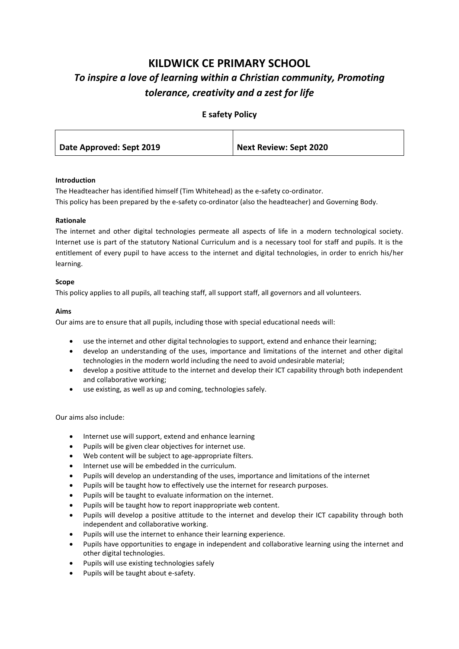# **KILDWICK CE PRIMARY SCHOOL** *To inspire a love of learning within a Christian community, Promoting tolerance, creativity and a zest for life*

|  | <b>E</b> safety Policy |  |  |
|--|------------------------|--|--|
|--|------------------------|--|--|

| Date Approved: Sept 2019 | <b>Next Review: Sept 2020</b> |
|--------------------------|-------------------------------|
|                          |                               |

# **Introduction**

The Headteacher has identified himself (Tim Whitehead) as the e-safety co-ordinator. This policy has been prepared by the e-safety co-ordinator (also the headteacher) and Governing Body.

## **Rationale**

The internet and other digital technologies permeate all aspects of life in a modern technological society. Internet use is part of the statutory National Curriculum and is a necessary tool for staff and pupils. It is the entitlement of every pupil to have access to the internet and digital technologies, in order to enrich his/her learning.

## **Scope**

This policy applies to all pupils, all teaching staff, all support staff, all governors and all volunteers.

## **Aims**

Our aims are to ensure that all pupils, including those with special educational needs will:

- use the internet and other digital technologies to support, extend and enhance their learning;
- develop an understanding of the uses, importance and limitations of the internet and other digital technologies in the modern world including the need to avoid undesirable material;
- develop a positive attitude to the internet and develop their ICT capability through both independent and collaborative working;
- use existing, as well as up and coming, technologies safely.

Our aims also include:

- Internet use will support, extend and enhance learning
- Pupils will be given clear objectives for internet use.
- Web content will be subject to age-appropriate filters.
- Internet use will be embedded in the curriculum.
- Pupils will develop an understanding of the uses, importance and limitations of the internet
- Pupils will be taught how to effectively use the internet for research purposes.
- Pupils will be taught to evaluate information on the internet.
- Pupils will be taught how to report inappropriate web content.
- Pupils will develop a positive attitude to the internet and develop their ICT capability through both independent and collaborative working.
- Pupils will use the internet to enhance their learning experience.
- Pupils have opportunities to engage in independent and collaborative learning using the internet and other digital technologies.
- Pupils will use existing technologies safely
- Pupils will be taught about e-safety.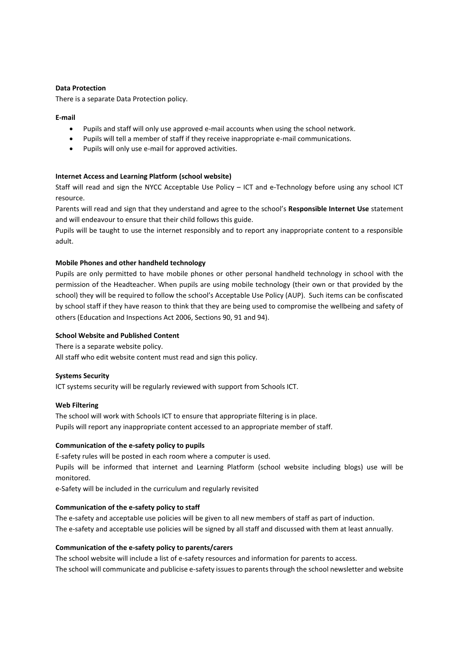## **Data Protection**

There is a separate Data Protection policy.

### **E-mail**

- Pupils and staff will only use approved e-mail accounts when using the school network.
- Pupils will tell a member of staff if they receive inappropriate e-mail communications.
- Pupils will only use e-mail for approved activities.

## **Internet Access and Learning Platform (school website)**

Staff will read and sign the NYCC Acceptable Use Policy – ICT and e-Technology before using any school ICT resource.

Parents will read and sign that they understand and agree to the school's **Responsible Internet Use** statement and will endeavour to ensure that their child follows this guide.

Pupils will be taught to use the internet responsibly and to report any inappropriate content to a responsible adult.

## **Mobile Phones and other handheld technology**

Pupils are only permitted to have mobile phones or other personal handheld technology in school with the permission of the Headteacher. When pupils are using mobile technology (their own or that provided by the school) they will be required to follow the school's Acceptable Use Policy (AUP). Such items can be confiscated by school staff if they have reason to think that they are being used to compromise the wellbeing and safety of others (Education and Inspections Act 2006, Sections 90, 91 and 94).

## **School Website and Published Content**

There is a separate website policy.

All staff who edit website content must read and sign this policy.

#### **Systems Security**

ICT systems security will be regularly reviewed with support from Schools ICT.

#### **Web Filtering**

The school will work with Schools ICT to ensure that appropriate filtering is in place. Pupils will report any inappropriate content accessed to an appropriate member of staff.

### **Communication of the e-safety policy to pupils**

E-safety rules will be posted in each room where a computer is used.

Pupils will be informed that internet and Learning Platform (school website including blogs) use will be monitored.

e-Safety will be included in the curriculum and regularly revisited

#### **Communication of the e-safety policy to staff**

The e-safety and acceptable use policies will be given to all new members of staff as part of induction. The e-safety and acceptable use policies will be signed by all staff and discussed with them at least annually.

#### **Communication of the e-safety policy to parents/carers**

The school website will include a list of e-safety resources and information for parents to access. The school will communicate and publicise e-safety issues to parents through the school newsletter and website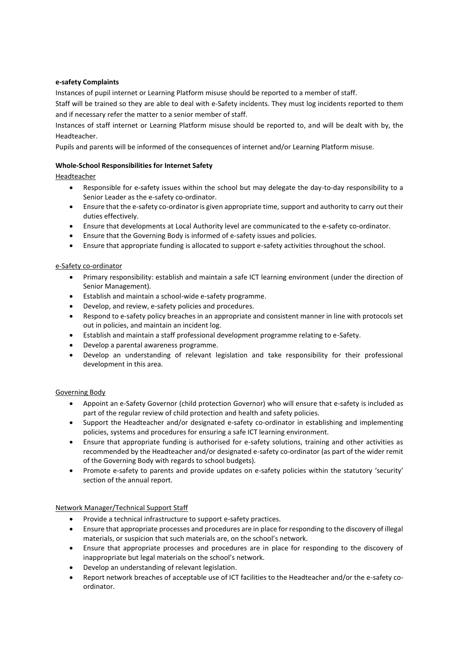# **e-safety Complaints**

Instances of pupil internet or Learning Platform misuse should be reported to a member of staff.

Staff will be trained so they are able to deal with e-Safety incidents. They must log incidents reported to them and if necessary refer the matter to a senior member of staff.

Instances of staff internet or Learning Platform misuse should be reported to, and will be dealt with by, the Headteacher.

Pupils and parents will be informed of the consequences of internet and/or Learning Platform misuse.

# **Whole-School Responsibilities for Internet Safety**

# Headteacher

- Responsible for e-safety issues within the school but may delegate the day-to-day responsibility to a Senior Leader as the e-safety co-ordinator.
- Ensure that the e-safety co-ordinator is given appropriate time, support and authority to carry out their duties effectively.
- Ensure that developments at Local Authority level are communicated to the e-safety co-ordinator.
- Ensure that the Governing Body is informed of e-safety issues and policies.
- Ensure that appropriate funding is allocated to support e-safety activities throughout the school.

# e-Safety co-ordinator

- Primary responsibility: establish and maintain a safe ICT learning environment (under the direction of Senior Management).
- Establish and maintain a school-wide e-safety programme.
- Develop, and review, e-safety policies and procedures.
- Respond to e-safety policy breaches in an appropriate and consistent manner in line with protocols set out in policies, and maintain an incident log.
- Establish and maintain a staff professional development programme relating to e-Safety.
- Develop a parental awareness programme.
- Develop an understanding of relevant legislation and take responsibility for their professional development in this area.

# Governing Body

- Appoint an e-Safety Governor (child protection Governor) who will ensure that e-safety is included as part of the regular review of child protection and health and safety policies.
- Support the Headteacher and/or designated e-safety co-ordinator in establishing and implementing policies, systems and procedures for ensuring a safe ICT learning environment.
- Ensure that appropriate funding is authorised for e-safety solutions, training and other activities as recommended by the Headteacher and/or designated e-safety co-ordinator (as part of the wider remit of the Governing Body with regards to school budgets).
- Promote e-safety to parents and provide updates on e-safety policies within the statutory 'security' section of the annual report.

# Network Manager/Technical Support Staff

- Provide a technical infrastructure to support e-safety practices.
- Ensure that appropriate processes and procedures are in place for responding to the discovery of illegal materials, or suspicion that such materials are, on the school's network.
- Ensure that appropriate processes and procedures are in place for responding to the discovery of inappropriate but legal materials on the school's network.
- Develop an understanding of relevant legislation.
- Report network breaches of acceptable use of ICT facilities to the Headteacher and/or the e-safety coordinator.